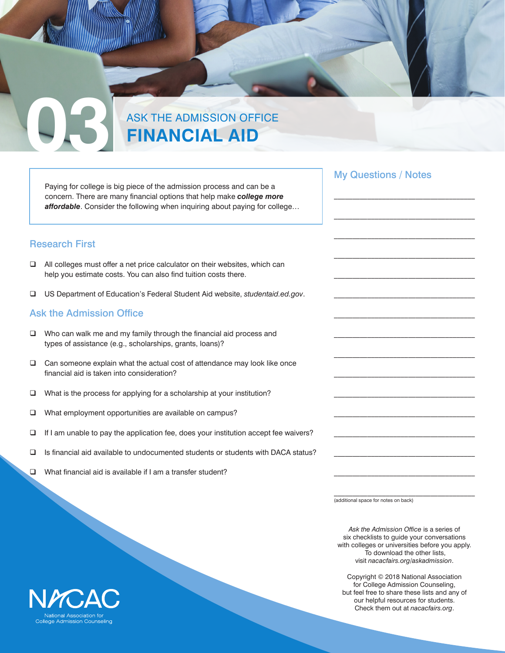## **03** ASK THE ADMISSION OFFICE **FINANCIAL AID**

Paying for college is big piece of the admission process and can be a concern. There are many financial options that help make *college more affordable*. Consider the following when inquiring about paying for college…

#### Research First

- $\Box$  All colleges must offer a net price calculator on their websites, which can help you estimate costs. You can also find tuition costs there.
- q US Department of Education's Federal Student Aid website, *[studentaid.ed.gov](https://studentaid.ed.gov/sa/)*.

#### Ask the Admission Office

- $\Box$  Who can walk me and my family through the financial aid process and types of assistance (e.g., scholarships, grants, loans)?
- $\Box$  Can someone explain what the actual cost of attendance may look like once financial aid is taken into consideration?
- $\Box$  What is the process for applying for a scholarship at your institution?
- **Q** What employment opportunities are available on campus?
- $\Box$  If I am unable to pay the application fee, does your institution accept fee waivers?
- $\square$  Is financial aid available to undocumented students or students with DACA status?
- $\Box$  What financial aid is available if I am a transfer student?

(additional space for notes on back)

*Ask the Admission Office* is a series of six checklists to guide your conversations with colleges or universities before you apply. To download the other lists, visit *[nacacfairs.org/askadmission](https://www.nacacfairs.org/askadmission)*.

Copyright © 2018 National Association for College Admission Counseling, but feel free to share these lists and any of our helpful resources for students. Check them out at *[nacacfairs.org](https://www.nacacfairs.org/)*.



My Questions / Notes